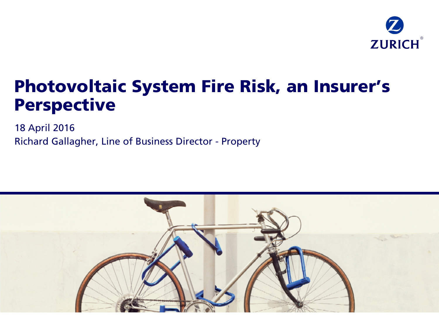

# Photovoltaic System Fire Risk, an Insurer's Perspective

18 April 2016 Richard Gallagher, Line of Business Director - Property

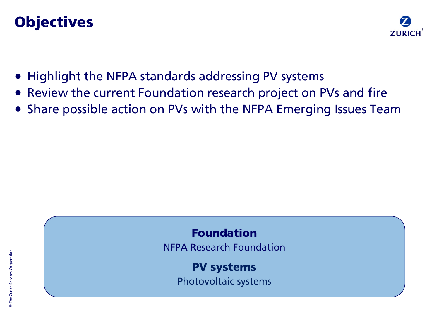# **Objectives**



- Highlight the NFPA standards addressing PV systems
- Review the current Foundation research project on PVs and fire
- Share possible action on PVs with the NFPA Emerging Issues Team



NFPA Research Foundation

PV systems

Photovoltaic systems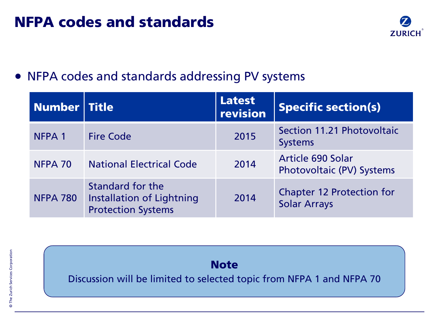# NFPA codes and standards



## • NFPA codes and standards addressing PV systems

| Number Title      |                                                                            | <b>Latest</b><br>revision | <b>Specific section(s)</b>                              |
|-------------------|----------------------------------------------------------------------------|---------------------------|---------------------------------------------------------|
| NFPA <sub>1</sub> | <b>Fire Code</b>                                                           | 2015                      | Section 11.21 Photovoltaic<br><b>Systems</b>            |
| NFPA 70           | <b>National Electrical Code</b>                                            | 2014                      | <b>Article 690 Solar</b><br>Photovoltaic (PV) Systems   |
| <b>NFPA 780</b>   | Standard for the<br>Installation of Lightning<br><b>Protection Systems</b> | 2014                      | <b>Chapter 12 Protection for</b><br><b>Solar Arrays</b> |



Discussion will be limited to selected topic from NFPA 1 and NFPA 70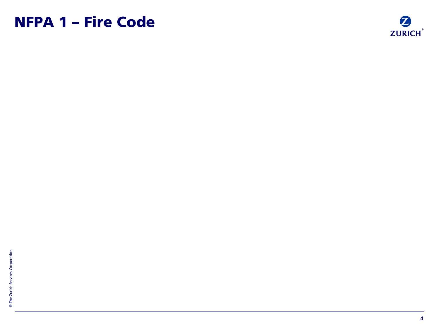# NFPA 1 – Fire Code

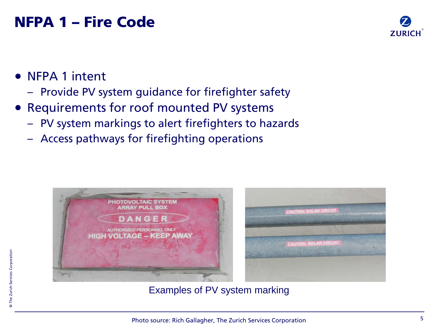# NFPA 1 – Fire Code



- NFPA 1 intent
	- Provide PV system guidance for firefighter safety
- Requirements for roof mounted PV systems
	- PV system markings to alert firefighters to hazards
	- Access pathways for firefighting operations



Examples of PV system marking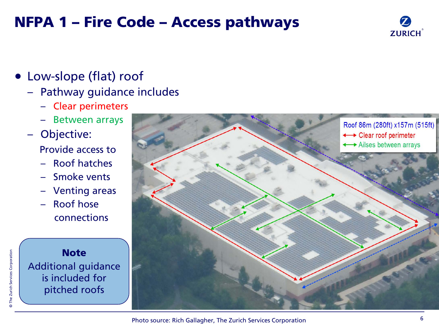# NFPA 1 – Fire Code – Access pathways



- Low-slope (flat) roof
	- Pathway guidance includes
		- Clear perimeters
		- Between arrays
	- Objective: Provide access to
		- Roof hatches
		- Smoke vents
		- Venting areas
		- Roof hose connections

#### **Note** Additional guidance is included for pitched roofs

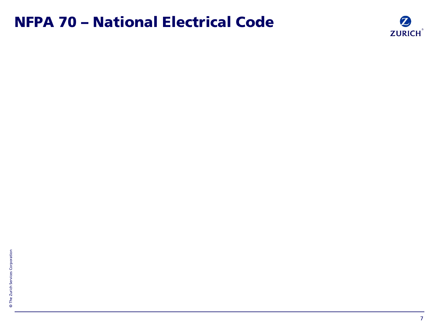# NFPA 70 – National Electrical Code

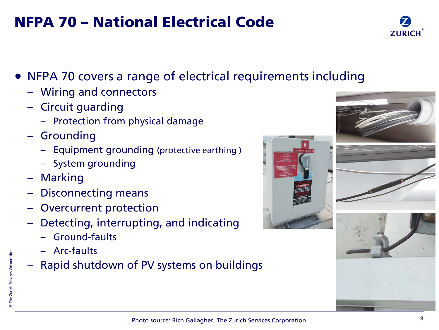# • NFPA 70 covers a range of electrical requirements including

NFPA 70 – National Electrical Code

- Wiring and connectors
- Circuit guarding
	- Protection from physical damage
- **Grounding** 
	- Equipment grounding (protective earthing )
	- System grounding
- Marking
- Disconnecting means
- Overcurrent protection
- Detecting, interrupting, and indicating
	- Ground-faults
	- Arc-faults
- Rapid shutdown of PV systems on buildings







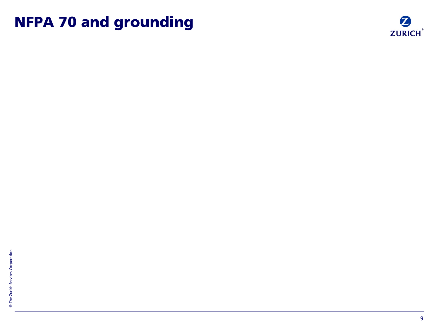# NFPA 70 and grounding

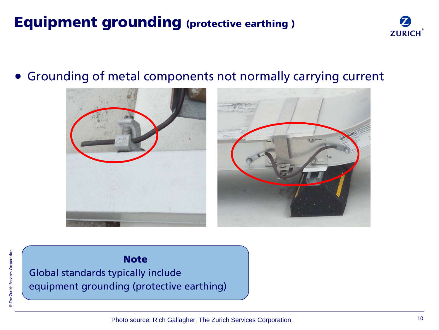# Equipment grounding (protective earthing )



### • Grounding of metal components not normally carrying current





#### **Note**

Global standards typically include equipment grounding (protective earthing)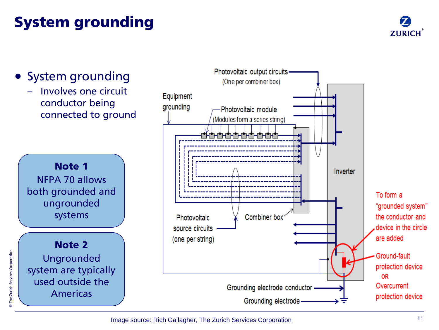# System grounding



## • System grounding

– Involves one circuit conductor being connected to ground



Note 2 Ungrounded system are typically used outside the Americas

© The Zurich Services Corporation

The Zurich Services Corporation

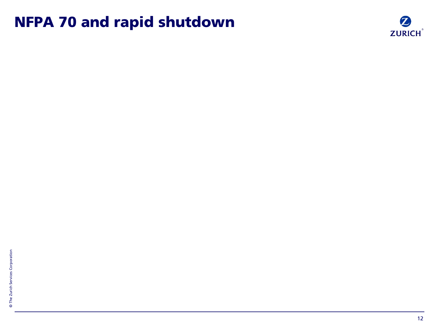# NFPA 70 and rapid shutdown

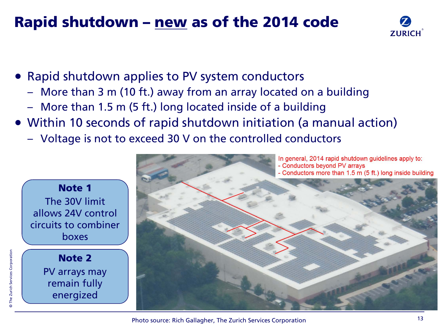# Rapid shutdown – new as of the 2014 code



- Rapid shutdown applies to PV system conductors
	- More than 3 m (10 ft.) away from an array located on a building
	- More than 1.5 m (5 ft.) long located inside of a building
- Within 10 seconds of rapid shutdown initiation (a manual action)
	- Voltage is not to exceed 30 V on the controlled conductors



© The Zurich Services Corporation

The Zurich Services Corporation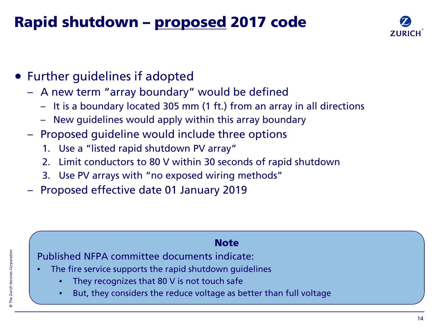# Rapid shutdown – proposed 2017 code



- Further guidelines if adopted
	- A new term "array boundary" would be defined
		- It is a boundary located 305 mm (1 ft.) from an array in all directions
		- New guidelines would apply within this array boundary
	- Proposed guideline would include three options
		- 1. Use a "listed rapid shutdown PV array"
		- 2. Limit conductors to 80 V within 30 seconds of rapid shutdown
		- 3. Use PV arrays with "no exposed wiring methods"
	- Proposed effective date 01 January 2019

#### **Note**

Published NFPA committee documents indicate:

- The fire service supports the rapid shutdown quidelines
	- They recognizes that 80 V is not touch safe
	- But, they considers the reduce voltage as better than full voltage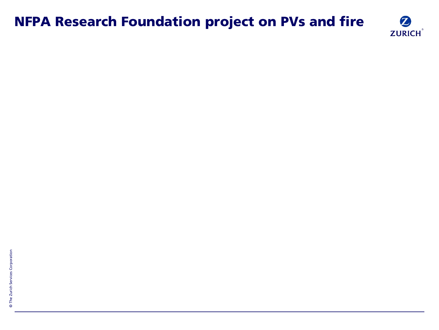## NFPA Research Foundation project on PVs and fire

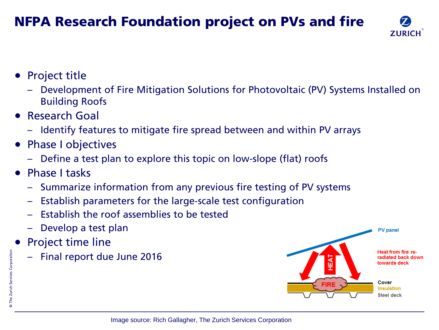## NFPA Research Foundation project on PVs and fire



- Project title
	- Development of Fire Mitigation Solutions for Photovoltaic (PV) Systems Installed on Building Roofs
- Research Goal
	- Identify features to mitigate fire spread between and within PV arrays
- Phase I objectives
	- Define a test plan to explore this topic on low-slope (flat) roofs
- Phase I tasks
	- Summarize information from any previous fire testing of PV systems
	- Establish parameters for the large‐scale test configuration
	- Establish the roof assemblies to be tested
	- Develop a test plan
- Project time line
	- Final report due June 2016

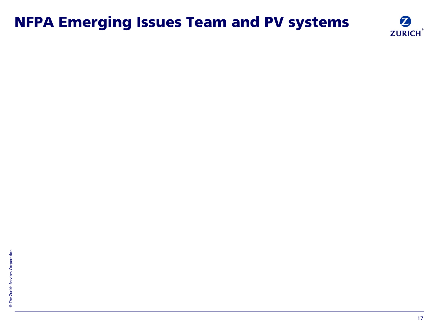# NFPA Emerging Issues Team and PV systems

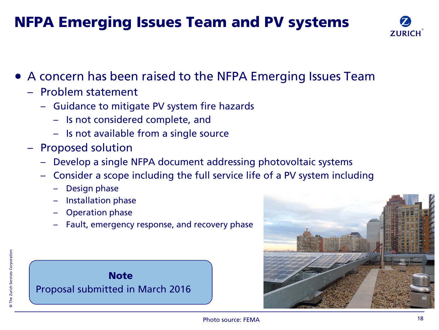# NFPA Emerging Issues Team and PV systems



- A concern has been raised to the NFPA Emerging Issues Team
	- Problem statement
		- Guidance to mitigate PV system fire hazards
			- Is not considered complete, and
			- Is not available from a single source
	- Proposed solution
		- Develop a single NFPA document addressing photovoltaic systems
		- Consider a scope including the full service life of a PV system including
			- Design phase
			- Installation phase
			- Operation phase
			- Fault, emergency response, and recovery phase



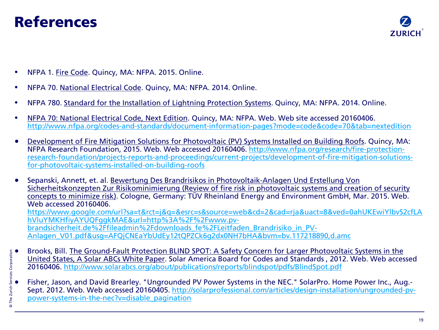# References



- NFPA 1. Fire Code. Quincy, MA: NFPA. 2015. Online.
- NFPA 70. National Electrical Code. Quincy, MA: NFPA. 2014. Online.
- NFPA 780. Standard for the Installation of Lightning Protection Systems. Quincy, MA: NFPA. 2014. Online.
- NFPA 70: National Electrical Code, Next Edition. Quincy, MA: NFPA. Web. Web site accessed 20160406. <http://www.nfpa.org/codes-and-standards/document-information-pages?mode=code&code=70&tab=nextedition>
- Development of Fire Mitigation Solutions for Photovoltaic (PV) Systems Installed on Building Roofs. Quincy, MA: NFPA Research Foundation, 2015. Web. Web accessed 20160406. [http://www.nfpa.org/research/fire-protection](http://www.nfpa.org/research/fire-protection-research-foundation/projects-reports-and-proceedings/current-projects/development-of-fire-mitigation-solutions-for-photovoltaic-systems-installed-on-building-roofs)[research-foundation/projects-reports-and-proceedings/current-projects/development-of-fire-mitigation-solutions](http://www.nfpa.org/research/fire-protection-research-foundation/projects-reports-and-proceedings/current-projects/development-of-fire-mitigation-solutions-for-photovoltaic-systems-installed-on-building-roofs)[for-photovoltaic-systems-installed-on-building-roofs](http://www.nfpa.org/research/fire-protection-research-foundation/projects-reports-and-proceedings/current-projects/development-of-fire-mitigation-solutions-for-photovoltaic-systems-installed-on-building-roofs)
- Sepanski, Annett, et. al. Bewertung Des Brandrisikos in Photovoltaik-Anlagen Und Erstellung Von Sicherheitskonzepten Zur Risikominimierung (Review of fire risk in photovoltaic systems and creation of security concepts to minimize risk). Cologne, Germany: TÜV Rheinland Energy and Environment GmbH, Mar. 2015. Web. Web accessed 20160406. [https://www.google.com/url?sa=t&rct=j&q=&esrc=s&source=web&cd=2&cad=rja&uact=8&ved=0ahUKEwiYlbvS2cfLA](https://www.google.com/url?sa=t&rct=j&q=&esrc=s&source=web&cd=2&cad=rja&uact=8&ved=0ahUKEwiYlbvS2cfLAhVluYMKHfiyAYUQFggkMAE&url=http://www.pv-brandsicherheit.de/fileadmin/downloads_fe/Leitfaden_Brandrisiko_in_PV-Anlagen_V01.pdf&usg=AFQjCNEaYbUdEy12tQPZCk6g2dx0NH7bHA&bvm=bv.117218890,d.amc) [hVluYMKHfiyAYUQFggkMAE&url=http%3A%2F%2Fwww.pv](https://www.google.com/url?sa=t&rct=j&q=&esrc=s&source=web&cd=2&cad=rja&uact=8&ved=0ahUKEwiYlbvS2cfLAhVluYMKHfiyAYUQFggkMAE&url=http://www.pv-brandsicherheit.de/fileadmin/downloads_fe/Leitfaden_Brandrisiko_in_PV-Anlagen_V01.pdf&usg=AFQjCNEaYbUdEy12tQPZCk6g2dx0NH7bHA&bvm=bv.117218890,d.amc)[brandsicherheit.de%2Ffileadmin%2Fdownloads\\_fe%2FLeitfaden\\_Brandrisiko\\_in\\_PV-](https://www.google.com/url?sa=t&rct=j&q=&esrc=s&source=web&cd=2&cad=rja&uact=8&ved=0ahUKEwiYlbvS2cfLAhVluYMKHfiyAYUQFggkMAE&url=http://www.pv-brandsicherheit.de/fileadmin/downloads_fe/Leitfaden_Brandrisiko_in_PV-Anlagen_V01.pdf&usg=AFQjCNEaYbUdEy12tQPZCk6g2dx0NH7bHA&bvm=bv.117218890,d.amc)[Anlagen\\_V01.pdf&usg=AFQjCNEaYbUdEy12tQPZCk6g2dx0NH7bHA&bvm=bv.117218890,d.amc](https://www.google.com/url?sa=t&rct=j&q=&esrc=s&source=web&cd=2&cad=rja&uact=8&ved=0ahUKEwiYlbvS2cfLAhVluYMKHfiyAYUQFggkMAE&url=http://www.pv-brandsicherheit.de/fileadmin/downloads_fe/Leitfaden_Brandrisiko_in_PV-Anlagen_V01.pdf&usg=AFQjCNEaYbUdEy12tQPZCk6g2dx0NH7bHA&bvm=bv.117218890,d.amc)
- Brooks, Bill. <u>The Ground-Fault Protection BLIND SPOT: A Safety Concern for Larger Photovoltaic Systems in the United States, A Solar ABCs White Paper. Solar America Board for Codes and Standards, 2012. Web. Web accessed</u> United States, A Solar ABCs White Paper. Solar America Board for Codes and Standards , 2012. Web. Web accessed 20160406. <http://www.solarabcs.org/about/publications/reports/blindspot/pdfs/BlindSpot.pdf>
	- Fisher, Jason, and David Brearley. "Ungrounded PV Power Systems in the NEC." SolarPro. Home Power Inc., Aug.- Sept. 2012. Web. Web accessed 20160405. [http://solarprofessional.com/articles/design-installation/ungrounded-pv](http://solarprofessional.com/articles/design-installation/ungrounded-pv-power-systems-in-the-nec?v=disable_pagination)[power-systems-in-the-nec?v=disable\\_pagination](http://solarprofessional.com/articles/design-installation/ungrounded-pv-power-systems-in-the-nec?v=disable_pagination)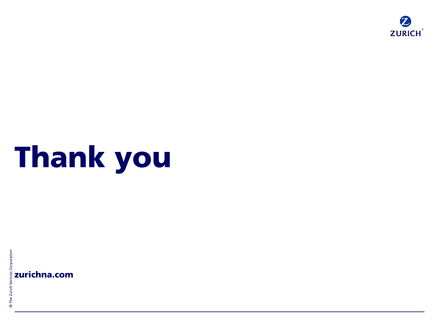

# Thank you

 $\begin{array}{c}\n\circ \\
\circ \\
\circ \\
\circ \\
\circ \\
\circ \\
\circ \\
\circ\n\end{array}$